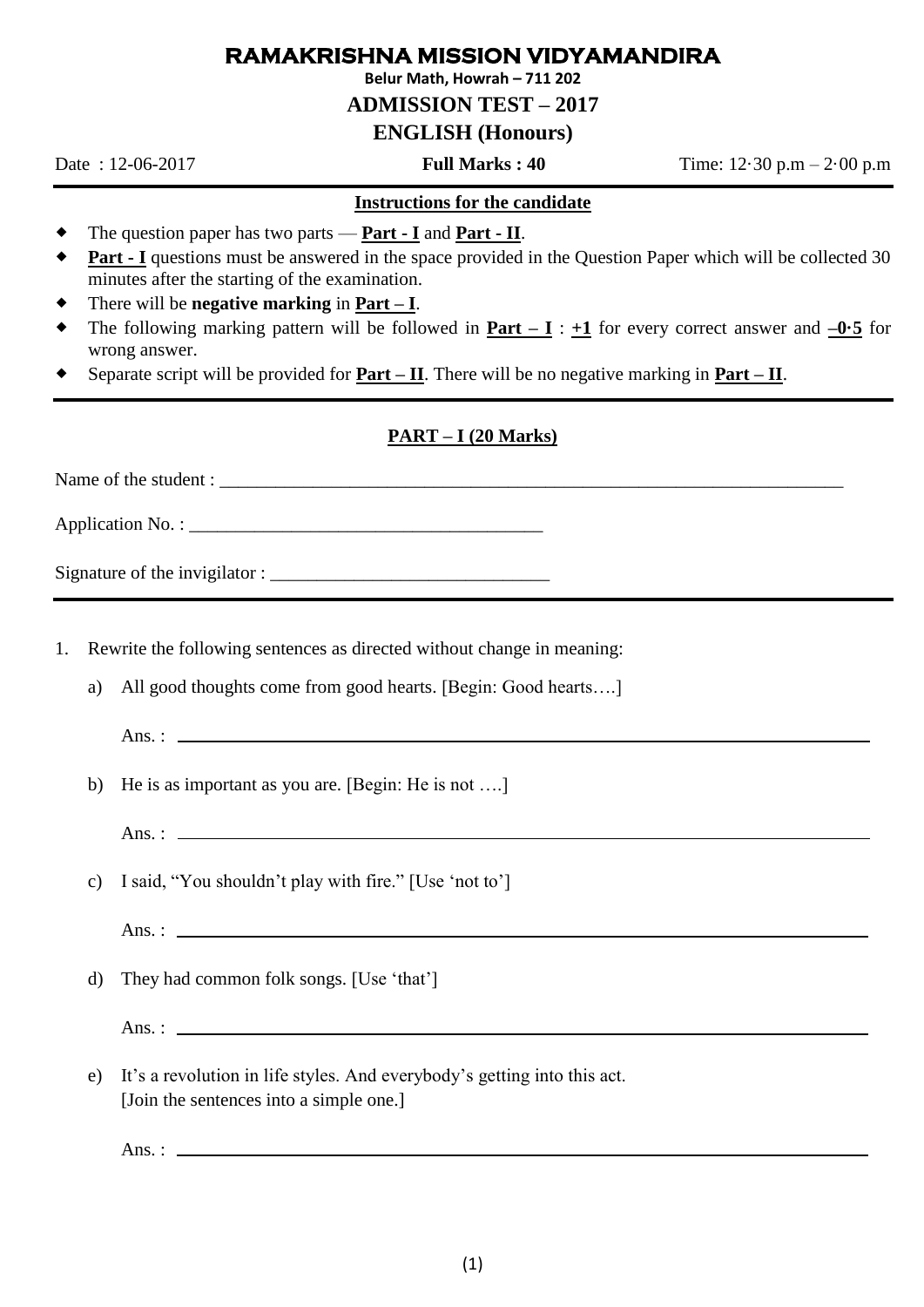# **RAMAKRISHNA MISSION VIDYAMANDIRA**

**Belur Math, Howrah – 711 202**

**ADMISSION TEST – 2017**

### **ENGLISH (Honours)**

Date : 12-06-2017 **Full Marks : 40** Time: 12·30 p.m – 2·00 p.m

#### **Instructions for the candidate**

- The question paper has two parts **Part - I** and **Part - II**.
- **Part I** questions must be answered in the space provided in the Question Paper which will be collected 30 minutes after the starting of the examination.
- There will be **negative marking** in **Part – I**.
- The following marking pattern will be followed in **Part – I** :  $+1$  for every correct answer and  $-0.5$  for wrong answer.
- Separate script will be provided for **Part – II**. There will be no negative marking in **Part – II**.

#### **PART – I (20 Marks)**

Name of the student :

Application No. :

Signature of the invigilator :

- 1. Rewrite the following sentences as directed without change in meaning:
	- a) All good thoughts come from good hearts. [Begin: Good hearts….]
		- $Ans.:$
	- b) He is as important as you are. [Begin: He is not ….]
		- Ans. :
	- c) I said, "You shouldn't play with fire." [Use 'not to']

Ans. :  $\frac{1}{2}$   $\frac{1}{2}$   $\frac{1}{2}$   $\frac{1}{2}$   $\frac{1}{2}$   $\frac{1}{2}$   $\frac{1}{2}$   $\frac{1}{2}$   $\frac{1}{2}$   $\frac{1}{2}$   $\frac{1}{2}$   $\frac{1}{2}$   $\frac{1}{2}$   $\frac{1}{2}$   $\frac{1}{2}$   $\frac{1}{2}$   $\frac{1}{2}$   $\frac{1}{2}$   $\frac{1}{2}$   $\frac{1}{2}$   $\frac{1}{2}$   $\frac{$ 

- d) They had common folk songs. [Use 'that']
	- $Ans.:$
- e) It's a revolution in life styles. And everybody's getting into this act. [Join the sentences into a simple one.]

Ans. :  $\_\_$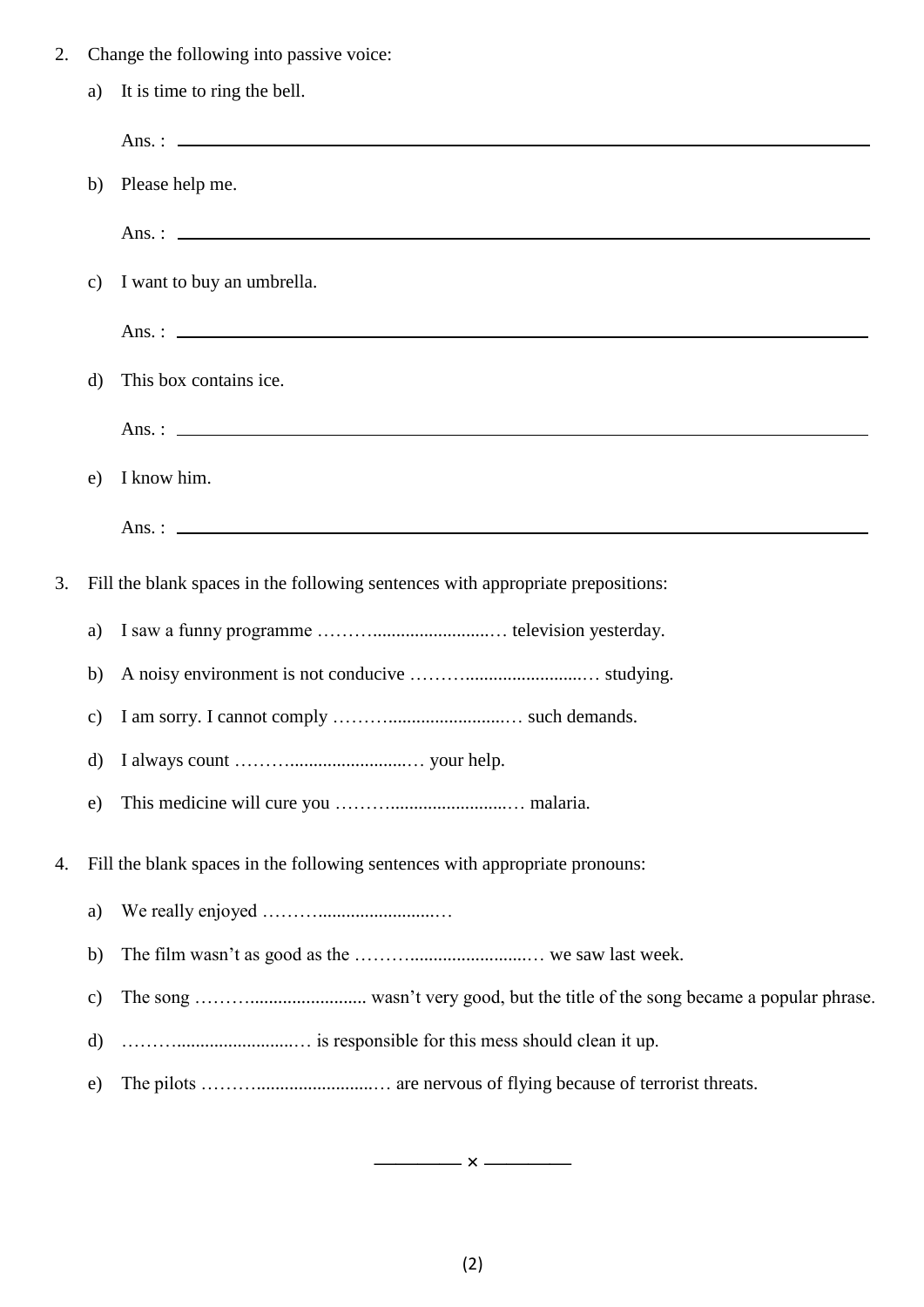2. Change the following into passive voice: a) It is time to ring the bell. Ans. : b) Please help me. Ans. : c) I want to buy an umbrella. Ans. : d) This box contains ice. Ans. : e) I know him. Ans. :  $\qquad \qquad$ 3. Fill the blank spaces in the following sentences with appropriate prepositions: a) I saw a funny programme ……….........................… television yesterday. b) A noisy environment is not conducive ……….........................… studying. c) I am sorry. I cannot comply ……….........................… such demands. d) I always count ……….........................… your help. e) This medicine will cure you ……….........................… malaria. 4. Fill the blank spaces in the following sentences with appropriate pronouns: a) We really enjoyed ……….........................… b) The film wasn't as good as the ……….........................… we saw last week. c) The song ………......................... wasn't very good, but the title of the song became a popular phrase. d) ……….........................… is responsible for this mess should clean it up. e) The pilots ……….........................… are nervous of flying because of terrorist threats.

**———— × ————**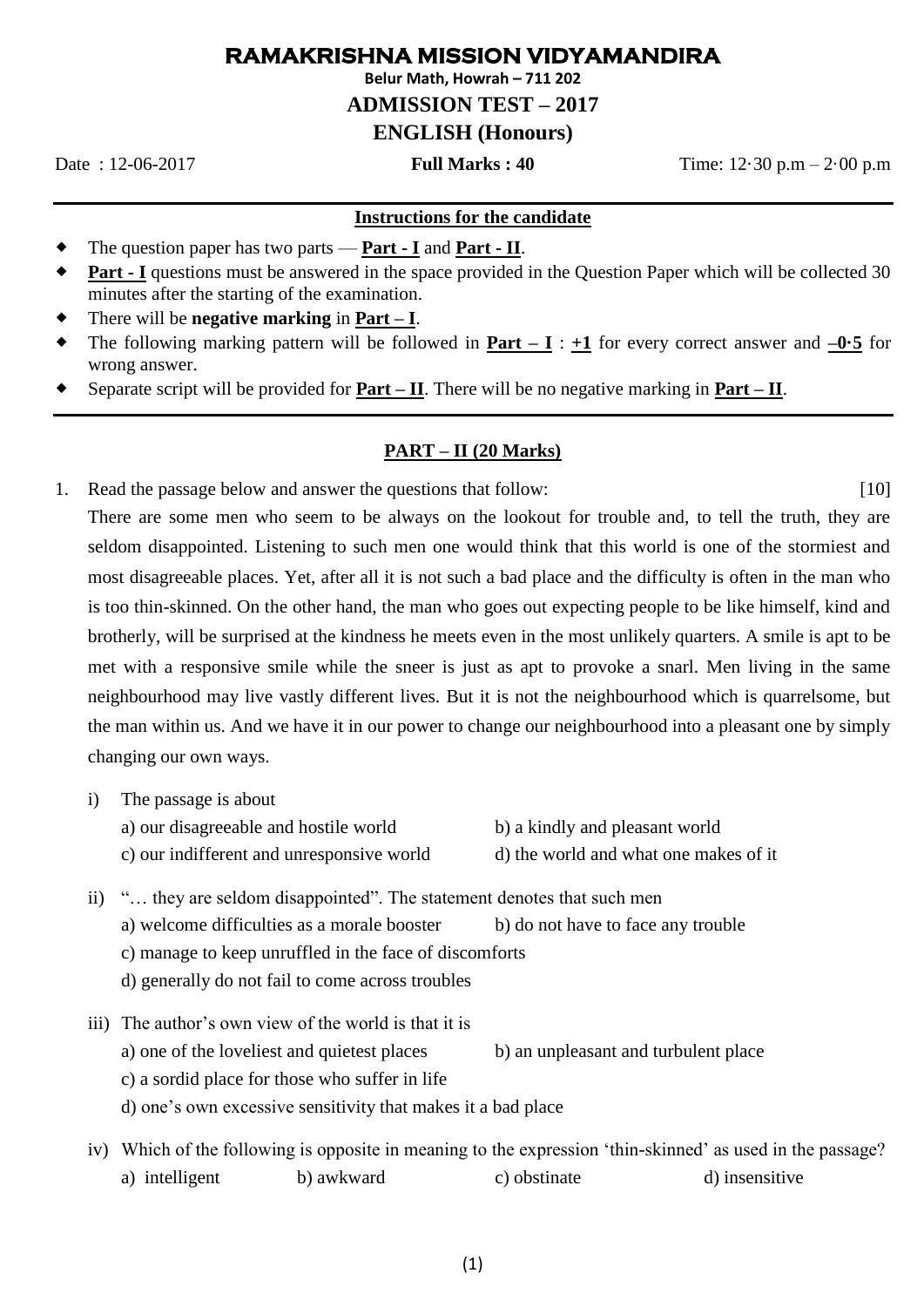## **RAMAKRISHNA MISSION VIDYAMANDIRA**

**Belur Math, Howrah – 711 202**

**ADMISSION TEST – 2017** 

## **ENGLISH (Honours)**

Date : 12-06-2017 **Full Marks : 40** Time: 12·30 p.m – 2·00 p.m

#### **Instructions for the candidate**

- The question paper has two parts **Part - I** and **Part - II**.
- **Part - I** questions must be answered in the space provided in the Question Paper which will be collected 30 minutes after the starting of the examination.
- There will be **negative marking** in **Part – I**.
- The following marking pattern will be followed in **Part – I** : **+1** for every correct answer and **–0·5** for wrong answer.
- Separate script will be provided for **Part – II**. There will be no negative marking in **Part – II**.

#### **PART – II (20 Marks)**

1. Read the passage below and answer the questions that follow: [10] There are some men who seem to be always on the lookout for trouble and, to tell the truth, they are seldom disappointed. Listening to such men one would think that this world is one of the stormiest and most disagreeable places. Yet, after all it is not such a bad place and the difficulty is often in the man who is too thin-skinned. On the other hand, the man who goes out expecting people to be like himself, kind and brotherly, will be surprised at the kindness he meets even in the most unlikely quarters. A smile is apt to be met with a responsive smile while the sneer is just as apt to provoke a snarl. Men living in the same neighbourhood may live vastly different lives. But it is not the neighbourhood which is quarrelsome, but the man within us. And we have it in our power to change our neighbourhood into a pleasant one by simply changing our own ways.

i) The passage is about

- a) our disagreeable and hostile world b) a kindly and pleasant world c) our indifferent and unresponsive world d) the world and what one makes of it
- ii) "... they are seldom disappointed". The statement denotes that such men a) welcome difficulties as a morale booster b) do not have to face any trouble c) manage to keep unruffled in the face of discomforts d) generally do not fail to come across troubles
- iii) The author's own view of the world is that it is a) one of the loveliest and quietest places b) an unpleasant and turbulent place c) a sordid place for those who suffer in life d) one's own excessive sensitivity that makes it a bad place
- iv) Which of the following is opposite in meaning to the expression 'thin-skinned' as used in the passage? a) intelligent b) awkward c) obstinate d) insensitive